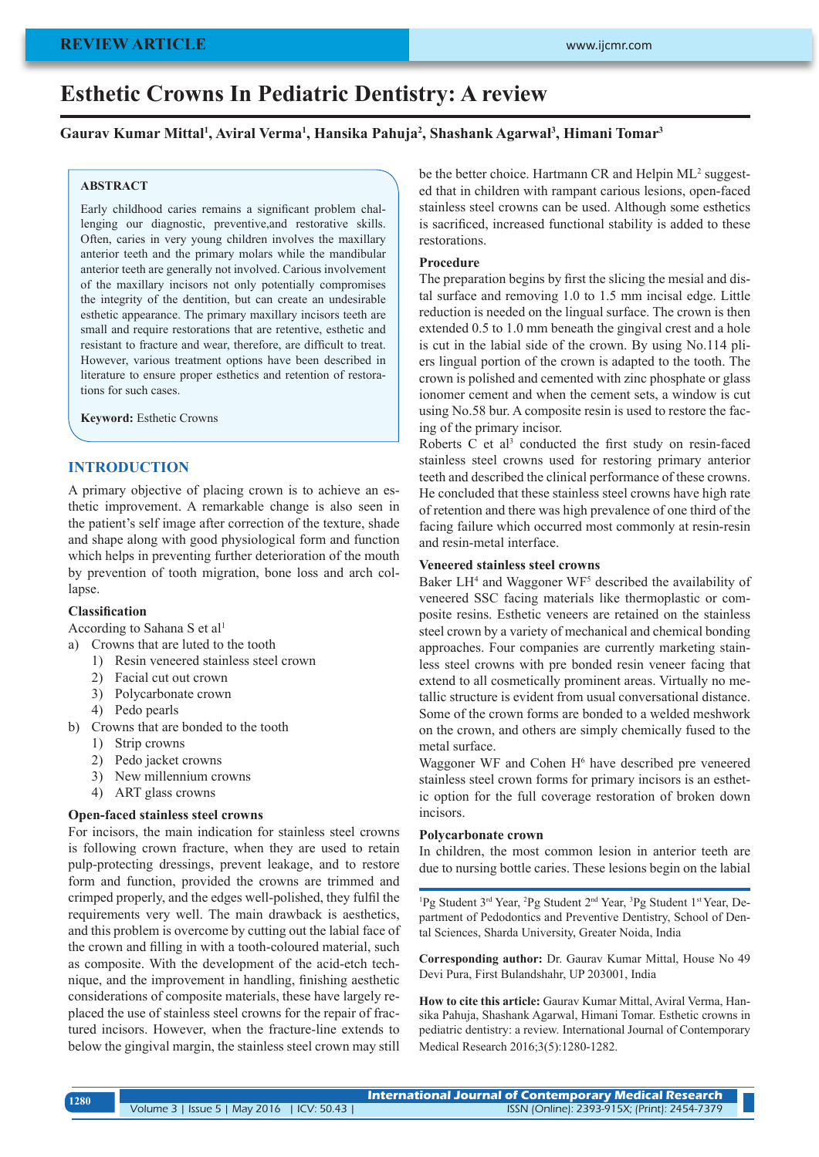# **REVIEW ARTICLE**

# **Esthetic Crowns In Pediatric Dentistry: A review**

#### **Gaurav Kumar Mittal1 , Aviral Verma1 , Hansika Pahuja2 , Shashank Agarwal3 , Himani Tomar3**

#### **ABSTRACT**

Early childhood caries remains a significant problem challenging our diagnostic, preventive,and restorative skills. Often, caries in very young children involves the maxillary anterior teeth and the primary molars while the mandibular anterior teeth are generally not involved. Carious involvement of the maxillary incisors not only potentially compromises the integrity of the dentition, but can create an undesirable esthetic appearance. The primary maxillary incisors teeth are small and require restorations that are retentive, esthetic and resistant to fracture and wear, therefore, are difficult to treat. However, various treatment options have been described in literature to ensure proper esthetics and retention of restorations for such cases.

**Keyword:** Esthetic Crowns

#### **INTRODUCTION**

A primary objective of placing crown is to achieve an esthetic improvement. A remarkable change is also seen in the patient's self image after correction of the texture, shade and shape along with good physiological form and function which helps in preventing further deterioration of the mouth by prevention of tooth migration, bone loss and arch collapse.

#### **Classification**

According to Sahana S et al<sup>1</sup>

- a) Crowns that are luted to the tooth
	- 1) Resin veneered stainless steel crown
	- 2) Facial cut out crown
	- 3) Polycarbonate crown
	- 4) Pedo pearls
- b) Crowns that are bonded to the tooth
	- 1) Strip crowns
	- 2) Pedo jacket crowns
	- 3) New millennium crowns
	- 4) ART glass crowns

#### **Open-faced stainless steel crowns**

For incisors, the main indication for stainless steel crowns is following crown fracture, when they are used to retain pulp-protecting dressings, prevent leakage, and to restore form and function, provided the crowns are trimmed and crimped properly, and the edges well-polished, they fulfil the requirements very well. The main drawback is aesthetics, and this problem is overcome by cutting out the labial face of the crown and filling in with a tooth-coloured material, such as composite. With the development of the acid-etch technique, and the improvement in handling, finishing aesthetic considerations of composite materials, these have largely replaced the use of stainless steel crowns for the repair of fractured incisors. However, when the fracture-line extends to below the gingival margin, the stainless steel crown may still be the better choice. Hartmann CR and Helpin ML<sup>2</sup> suggested that in children with rampant carious lesions, open-faced stainless steel crowns can be used. Although some esthetics is sacrificed, increased functional stability is added to these restorations.

### **Procedure**

The preparation begins by first the slicing the mesial and distal surface and removing 1.0 to 1.5 mm incisal edge. Little reduction is needed on the lingual surface. The crown is then extended 0.5 to 1.0 mm beneath the gingival crest and a hole is cut in the labial side of the crown. By using No.114 pliers lingual portion of the crown is adapted to the tooth. The crown is polished and cemented with zinc phosphate or glass ionomer cement and when the cement sets, a window is cut using No.58 bur. A composite resin is used to restore the facing of the primary incisor.

Roberts  $C$  et al<sup>3</sup> conducted the first study on resin-faced stainless steel crowns used for restoring primary anterior teeth and described the clinical performance of these crowns. He concluded that these stainless steel crowns have high rate of retention and there was high prevalence of one third of the facing failure which occurred most commonly at resin-resin and resin-metal interface.

#### **Veneered stainless steel crowns**

Baker LH<sup>4</sup> and Waggoner WF<sup>5</sup> described the availability of veneered SSC facing materials like thermoplastic or composite resins. Esthetic veneers are retained on the stainless steel crown by a variety of mechanical and chemical bonding approaches. Four companies are currently marketing stainless steel crowns with pre bonded resin veneer facing that extend to all cosmetically prominent areas. Virtually no metallic structure is evident from usual conversational distance. Some of the crown forms are bonded to a welded meshwork on the crown, and others are simply chemically fused to the metal surface.

Waggoner WF and Cohen H<sup>6</sup> have described pre veneered stainless steel crown forms for primary incisors is an esthetic option for the full coverage restoration of broken down incisors.

#### **Polycarbonate crown**

In children, the most common lesion in anterior teeth are due to nursing bottle caries. These lesions begin on the labial

<sup>1</sup>Pg Student 3<sup>rd</sup> Year, <sup>2</sup>Pg Student 2<sup>nd</sup> Year, <sup>3</sup>Pg Student 1<sup>st</sup> Year, Department of Pedodontics and Preventive Dentistry, School of Dental Sciences, Sharda University, Greater Noida, India

**Corresponding author:** Dr. Gaurav Kumar Mittal, House No 49 Devi Pura, First Bulandshahr, UP 203001, India

**How to cite this article:** Gaurav Kumar Mittal, Aviral Verma, Hansika Pahuja, Shashank Agarwal, Himani Tomar. Esthetic crowns in pediatric dentistry: a review. International Journal of Contemporary Medical Research 2016;3(5):1280-1282.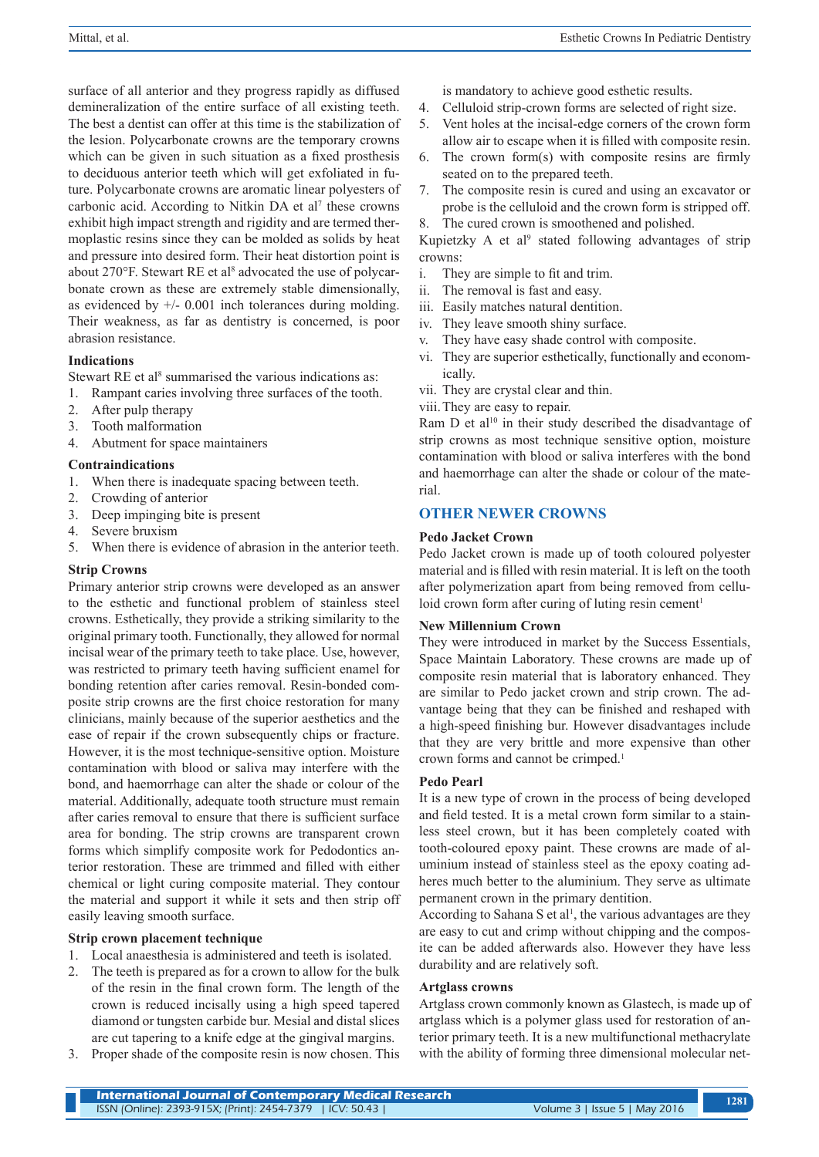surface of all anterior and they progress rapidly as diffused demineralization of the entire surface of all existing teeth. The best a dentist can offer at this time is the stabilization of the lesion. Polycarbonate crowns are the temporary crowns which can be given in such situation as a fixed prosthesis to deciduous anterior teeth which will get exfoliated in future. Polycarbonate crowns are aromatic linear polyesters of carbonic acid. According to Nitkin DA et al<sup>7</sup> these crowns exhibit high impact strength and rigidity and are termed thermoplastic resins since they can be molded as solids by heat and pressure into desired form. Their heat distortion point is about 270°F. Stewart RE et al<sup>8</sup> advocated the use of polycarbonate crown as these are extremely stable dimensionally, as evidenced by  $+/- 0.001$  inch tolerances during molding. Their weakness, as far as dentistry is concerned, is poor abrasion resistance.

# **Indications**

Stewart RE et al<sup>8</sup> summarised the various indications as:

- 1. Rampant caries involving three surfaces of the tooth.
- 2. After pulp therapy
- 3. Tooth malformation
- 4. Abutment for space maintainers

#### **Contraindications**

- 1. When there is inadequate spacing between teeth.
- 2. Crowding of anterior
- 3. Deep impinging bite is present
- 4. Severe bruxism
- 5. When there is evidence of abrasion in the anterior teeth.

#### **Strip Crowns**

Primary anterior strip crowns were developed as an answer to the esthetic and functional problem of stainless steel crowns. Esthetically, they provide a striking similarity to the original primary tooth. Functionally, they allowed for normal incisal wear of the primary teeth to take place. Use, however, was restricted to primary teeth having sufficient enamel for bonding retention after caries removal. Resin-bonded composite strip crowns are the first choice restoration for many clinicians, mainly because of the superior aesthetics and the ease of repair if the crown subsequently chips or fracture. However, it is the most technique-sensitive option. Moisture contamination with blood or saliva may interfere with the bond, and haemorrhage can alter the shade or colour of the material. Additionally, adequate tooth structure must remain after caries removal to ensure that there is sufficient surface area for bonding. The strip crowns are transparent crown forms which simplify composite work for Pedodontics anterior restoration. These are trimmed and filled with either chemical or light curing composite material. They contour the material and support it while it sets and then strip off easily leaving smooth surface.

# **Strip crown placement technique**

- 1. Local anaesthesia is administered and teeth is isolated.
- 2. The teeth is prepared as for a crown to allow for the bulk of the resin in the final crown form. The length of the crown is reduced incisally using a high speed tapered diamond or tungsten carbide bur. Mesial and distal slices are cut tapering to a knife edge at the gingival margins.
- 3. Proper shade of the composite resin is now chosen. This

is mandatory to achieve good esthetic results.

- 4. Celluloid strip-crown forms are selected of right size.
- 5. Vent holes at the incisal-edge corners of the crown form allow air to escape when it is filled with composite resin.
- 6. The crown form(s) with composite resins are firmly seated on to the prepared teeth.
- 7. The composite resin is cured and using an excavator or probe is the celluloid and the crown form is stripped off.
- 8. The cured crown is smoothened and polished.

Kupietzky A et al<sup>9</sup> stated following advantages of strip crowns:

- i. They are simple to fit and trim.
- ii. The removal is fast and easy.
- iii. Easily matches natural dentition.
- iv. They leave smooth shiny surface.
- v. They have easy shade control with composite.
- vi. They are superior esthetically, functionally and economically.
- vii. They are crystal clear and thin.

viii.They are easy to repair.

Ram  $D$  et al<sup>10</sup> in their study described the disadvantage of strip crowns as most technique sensitive option, moisture contamination with blood or saliva interferes with the bond and haemorrhage can alter the shade or colour of the material.

# **OTHER NEWER CROWNS**

#### **Pedo Jacket Crown**

Pedo Jacket crown is made up of tooth coloured polyester material and is filled with resin material. It is left on the tooth after polymerization apart from being removed from celluloid crown form after curing of luting resin cement<sup>1</sup>

#### **New Millennium Crown**

They were introduced in market by the Success Essentials, Space Maintain Laboratory. These crowns are made up of composite resin material that is laboratory enhanced. They are similar to Pedo jacket crown and strip crown. The advantage being that they can be finished and reshaped with a high-speed finishing bur. However disadvantages include that they are very brittle and more expensive than other crown forms and cannot be crimped.<sup>1</sup>

#### **Pedo Pearl**

It is a new type of crown in the process of being developed and field tested. It is a metal crown form similar to a stainless steel crown, but it has been completely coated with tooth-coloured epoxy paint. These crowns are made of aluminium instead of stainless steel as the epoxy coating adheres much better to the aluminium. They serve as ultimate permanent crown in the primary dentition.

According to Sahana S et al<sup>1</sup>, the various advantages are they are easy to cut and crimp without chipping and the composite can be added afterwards also. However they have less durability and are relatively soft.

#### **Artglass crowns**

Artglass crown commonly known as Glastech, is made up of artglass which is a polymer glass used for restoration of anterior primary teeth. It is a new multifunctional methacrylate with the ability of forming three dimensional molecular net